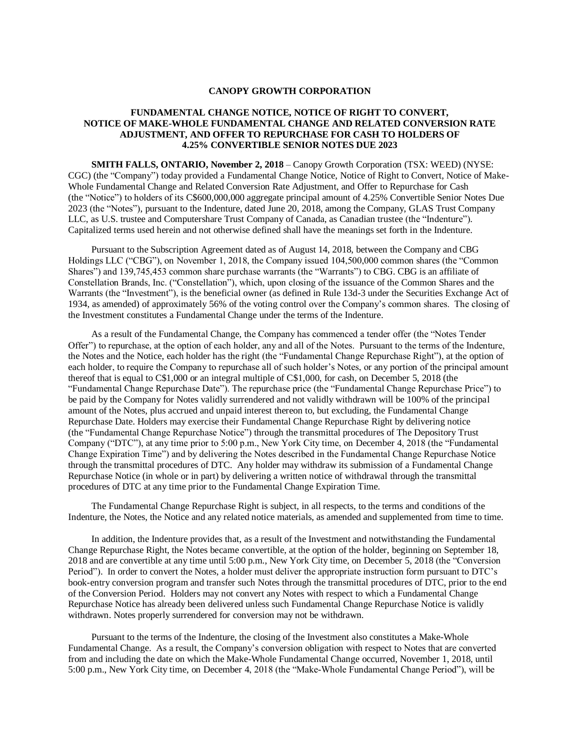## **CANOPY GROWTH CORPORATION**

## **FUNDAMENTAL CHANGE NOTICE, NOTICE OF RIGHT TO CONVERT, NOTICE OF MAKE-WHOLE FUNDAMENTAL CHANGE AND RELATED CONVERSION RATE ADJUSTMENT, AND OFFER TO REPURCHASE FOR CASH TO HOLDERS OF 4.25% CONVERTIBLE SENIOR NOTES DUE 2023**

**SMITH FALLS, ONTARIO, November 2, 2018** – Canopy Growth Corporation (TSX: WEED) (NYSE: CGC) (the "Company") today provided a Fundamental Change Notice, Notice of Right to Convert, Notice of Make-Whole Fundamental Change and Related Conversion Rate Adjustment, and Offer to Repurchase for Cash (the "Notice") to holders of its C\$600,000,000 aggregate principal amount of 4.25% Convertible Senior Notes Due 2023 (the "Notes"), pursuant to the Indenture, dated June 20, 2018, among the Company, GLAS Trust Company LLC, as U.S. trustee and Computershare Trust Company of Canada, as Canadian trustee (the "Indenture"). Capitalized terms used herein and not otherwise defined shall have the meanings set forth in the Indenture.

Pursuant to the Subscription Agreement dated as of August 14, 2018, between the Company and CBG Holdings LLC ("CBG"), on November 1, 2018, the Company issued 104,500,000 common shares (the "Common Shares") and 139,745,453 common share purchase warrants (the "Warrants") to CBG. CBG is an affiliate of Constellation Brands, Inc. ("Constellation"), which, upon closing of the issuance of the Common Shares and the Warrants (the "Investment"), is the beneficial owner (as defined in Rule 13d-3 under the Securities Exchange Act of 1934, as amended) of approximately 56% of the voting control over the Company's common shares. The closing of the Investment constitutes a Fundamental Change under the terms of the Indenture.

As a result of the Fundamental Change, the Company has commenced a tender offer (the "Notes Tender Offer") to repurchase, at the option of each holder, any and all of the Notes. Pursuant to the terms of the Indenture, the Notes and the Notice, each holder has the right (the "Fundamental Change Repurchase Right"), at the option of each holder, to require the Company to repurchase all of such holder's Notes, or any portion of the principal amount thereof that is equal to C\$1,000 or an integral multiple of C\$1,000, for cash, on December 5, 2018 (the "Fundamental Change Repurchase Date"). The repurchase price (the "Fundamental Change Repurchase Price") to be paid by the Company for Notes validly surrendered and not validly withdrawn will be 100% of the principal amount of the Notes, plus accrued and unpaid interest thereon to, but excluding, the Fundamental Change Repurchase Date. Holders may exercise their Fundamental Change Repurchase Right by delivering notice (the "Fundamental Change Repurchase Notice") through the transmittal procedures of The Depository Trust Company ("DTC"), at any time prior to 5:00 p.m., New York City time, on December 4, 2018 (the "Fundamental Change Expiration Time") and by delivering the Notes described in the Fundamental Change Repurchase Notice through the transmittal procedures of DTC. Any holder may withdraw its submission of a Fundamental Change Repurchase Notice (in whole or in part) by delivering a written notice of withdrawal through the transmittal procedures of DTC at any time prior to the Fundamental Change Expiration Time.

The Fundamental Change Repurchase Right is subject, in all respects, to the terms and conditions of the Indenture, the Notes, the Notice and any related notice materials, as amended and supplemented from time to time.

In addition, the Indenture provides that, as a result of the Investment and notwithstanding the Fundamental Change Repurchase Right, the Notes became convertible, at the option of the holder, beginning on September 18, 2018 and are convertible at any time until 5:00 p.m., New York City time, on December 5, 2018 (the "Conversion Period"). In order to convert the Notes, a holder must deliver the appropriate instruction form pursuant to DTC's book-entry conversion program and transfer such Notes through the transmittal procedures of DTC, prior to the end of the Conversion Period. Holders may not convert any Notes with respect to which a Fundamental Change Repurchase Notice has already been delivered unless such Fundamental Change Repurchase Notice is validly withdrawn. Notes properly surrendered for conversion may not be withdrawn.

Pursuant to the terms of the Indenture, the closing of the Investment also constitutes a Make-Whole Fundamental Change. As a result, the Company's conversion obligation with respect to Notes that are converted from and including the date on which the Make-Whole Fundamental Change occurred, November 1, 2018, until 5:00 p.m., New York City time, on December 4, 2018 (the "Make-Whole Fundamental Change Period"), will be